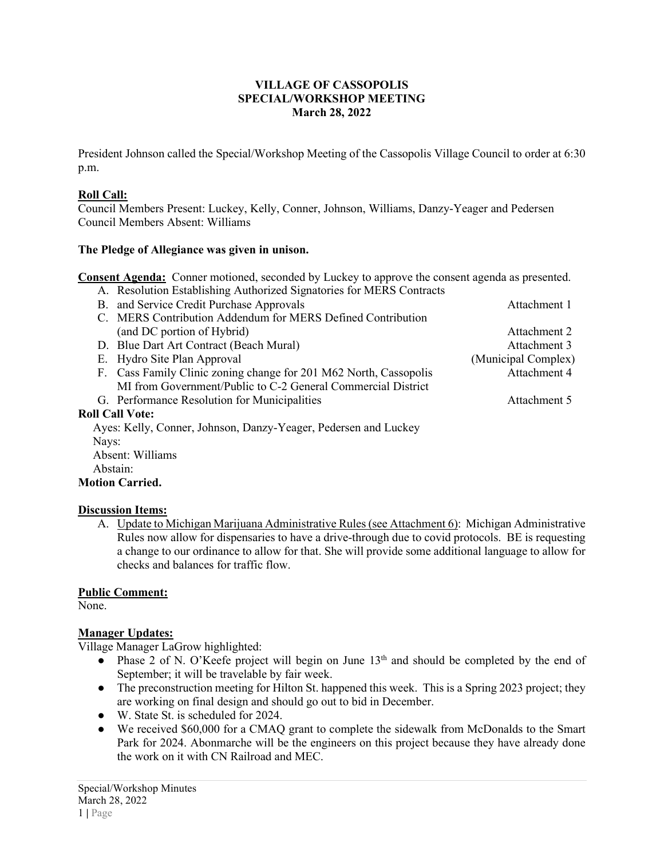#### **VILLAGE OF CASSOPOLIS SPECIAL/WORKSHOP MEETING March 28, 2022**

President Johnson called the Special/Workshop Meeting of the Cassopolis Village Council to order at 6:30 p.m.

#### **Roll Call:**

Council Members Present: Luckey, Kelly, Conner, Johnson, Williams, Danzy-Yeager and Pedersen Council Members Absent: Williams

#### **The Pledge of Allegiance was given in unison.**

**Consent Agenda:** Conner motioned, seconded by Luckey to approve the consent agenda as presented.

A. Resolution Establishing Authorized Signatories for MERS Contracts

|       | B. and Service Credit Purchase Approvals                          | Attachment 1        |
|-------|-------------------------------------------------------------------|---------------------|
|       | C. MERS Contribution Addendum for MERS Defined Contribution       |                     |
|       | (and DC portion of Hybrid)                                        | Attachment 2        |
|       | D. Blue Dart Art Contract (Beach Mural)                           | Attachment 3        |
|       | E. Hydro Site Plan Approval                                       | (Municipal Complex) |
|       | F. Cass Family Clinic zoning change for 201 M62 North, Cassopolis | Attachment 4        |
|       | MI from Government/Public to C-2 General Commercial District      |                     |
|       | G. Performance Resolution for Municipalities                      | Attachment 5        |
|       | <b>Roll Call Vote:</b>                                            |                     |
|       | Ayes: Kelly, Conner, Johnson, Danzy-Yeager, Pedersen and Luckey   |                     |
| Nays: |                                                                   |                     |
|       | $\mathbf{v}$                                                      |                     |

 Absent: Williams Abstain:

## **Motion Carried.**

## **Discussion Items:**

A. Update to Michigan Marijuana Administrative Rules (see Attachment 6): Michigan Administrative Rules now allow for dispensaries to have a drive-through due to covid protocols. BE is requesting a change to our ordinance to allow for that. She will provide some additional language to allow for checks and balances for traffic flow.

## **Public Comment:**

None.

## **Manager Updates:**

Village Manager LaGrow highlighted:

- Phase 2 of N. O'Keefe project will begin on June 13<sup>th</sup> and should be completed by the end of September; it will be travelable by fair week.
- The preconstruction meeting for Hilton St. happened this week. This is a Spring 2023 project; they are working on final design and should go out to bid in December.
- W. State St. is scheduled for 2024.
- We received \$60,000 for a CMAQ grant to complete the sidewalk from McDonalds to the Smart Park for 2024. Abonmarche will be the engineers on this project because they have already done the work on it with CN Railroad and MEC.